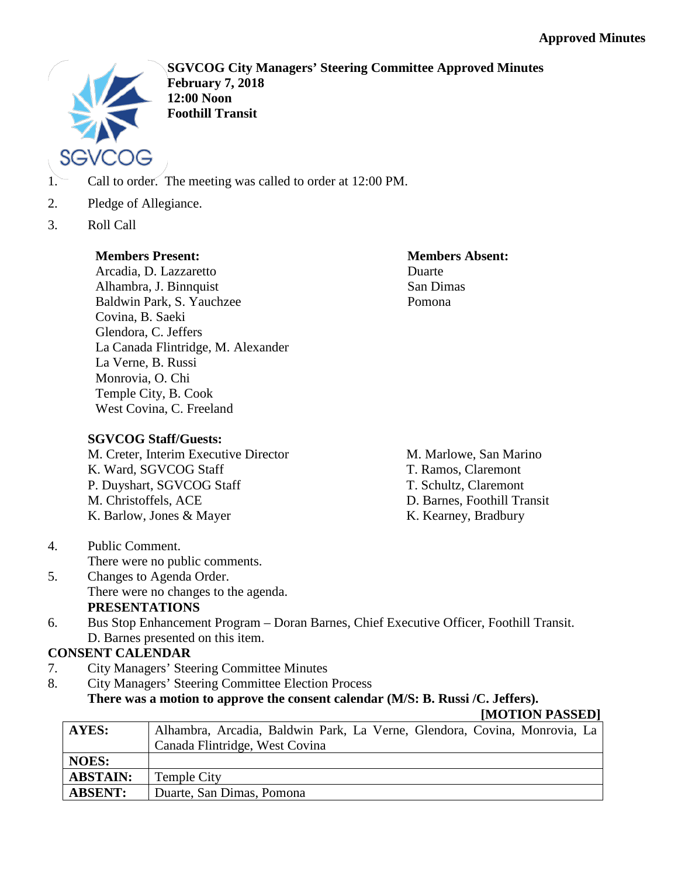

**SGVCOG City Managers' Steering Committee Approved Minutes February 7, 2018 12:00 Noon Foothill Transit**

- 1. Call to order. The meeting was called to order at 12:00 PM.
- 2. Pledge of Allegiance.
- 3. Roll Call

## **Members Present:**

### Arcadia, D. Lazzaretto Alhambra, J. Binnquist Baldwin Park, S. Yauchzee Covina, B. Saeki Glendora, C. Jeffers La Canada Flintridge, M. Alexander La Verne, B. Russi Monrovia, O. Chi Temple City, B. Cook West Covina, C. Freeland

### **Members Absent:** Duarte San Dimas Pomona

# **SGVCOG Staff/Guests:**

M. Creter, Interim Executive Director K. Ward, SGVCOG Staff P. Duyshart, SGVCOG Staff M. Christoffels, ACE K. Barlow, Jones & Mayer

- M. Marlowe, San Marino T. Ramos, Claremont
- T. Schultz, Claremont
- D. Barnes, Foothill Transit
- K. Kearney, Bradbury

- 4. Public Comment. There were no public comments.
- 5. Changes to Agenda Order. There were no changes to the agenda. **PRESENTATIONS**
- 6. Bus Stop Enhancement Program Doran Barnes, Chief Executive Officer, Foothill Transit. D. Barnes presented on this item.

# **CONSENT CALENDAR**

- 7. City Managers' Steering Committee Minutes
- 8. City Managers' Steering Committee Election Process

## **There was a motion to approve the consent calendar (M/S: B. Russi /C. Jeffers).**

### **[MOTION PASSED]**

| AYES:           | Alhambra, Arcadia, Baldwin Park, La Verne, Glendora, Covina, Monrovia, La |
|-----------------|---------------------------------------------------------------------------|
|                 | Canada Flintridge, West Covina                                            |
| <b>NOES:</b>    |                                                                           |
| <b>ABSTAIN:</b> | Temple City                                                               |
| <b>ABSENT:</b>  | Duarte, San Dimas, Pomona                                                 |